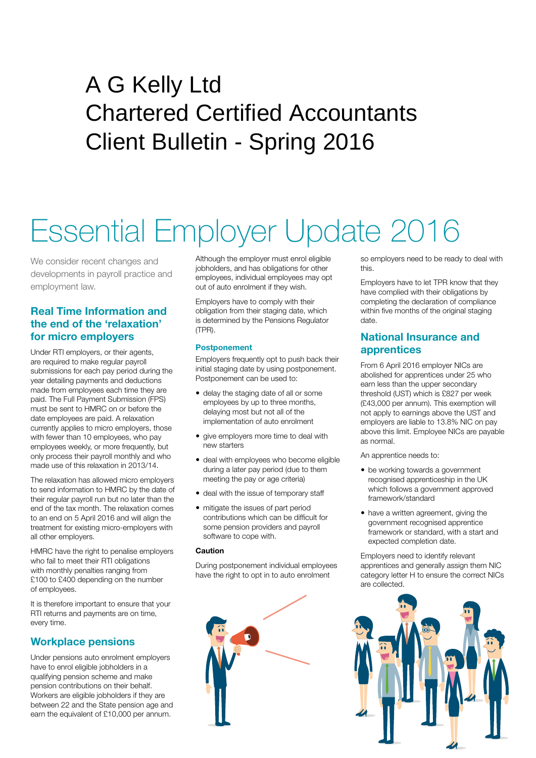# A G Kelly Ltd Chartered Certified Accountants Client Bulletin - Spring 2016

# Essential Employer Update 2016

We consider recent changes and developments in payroll practice and employment law.

# **Real Time Information and the end of the 'relaxation' for micro employers**

Under RTI employers, or their agents, are required to make regular payroll submissions for each pay period during the year detailing payments and deductions made from employees each time they are paid. The Full Payment Submission (FPS) must be sent to HMRC on or before the date employees are paid. A relaxation currently applies to micro employers, those with fewer than 10 employees, who pay employees weekly, or more frequently, but only process their payroll monthly and who made use of this relaxation in 2013/14.

The relaxation has allowed micro employers to send information to HMRC by the date of their regular payroll run but no later than the end of the tax month. The relaxation comes to an end on 5 April 2016 and will align the treatment for existing micro-employers with all other employers.

HMRC have the right to penalise employers who fail to meet their RTI obligations with monthly penalties ranging from £100 to £400 depending on the number of employees.

It is therefore important to ensure that your RTI returns and payments are on time, every time.

# **Workplace pensions**

Under pensions auto enrolment employers have to enrol eligible jobholders in a qualifying pension scheme and make pension contributions on their behalf. Workers are eligible jobholders if they are between 22 and the State pension age and earn the equivalent of £10,000 per annum.

Although the employer must enrol eligible jobholders, and has obligations for other employees, individual employees may opt out of auto enrolment if they wish.

Employers have to comply with their obligation from their staging date, which is determined by the Pensions Regulator (TPR).

#### **Postponement**

Employers frequently opt to push back their initial staging date by using postponement. Postponement can be used to:

- delay the staging date of all or some employees by up to three months, delaying most but not all of the implementation of auto enrolment
- give employers more time to deal with new starters
- deal with employees who become eligible during a later pay period (due to them meeting the pay or age criteria)
- deal with the issue of temporary staff
- mitigate the issues of part period contributions which can be difficult for some pension providers and payroll software to cope with.

#### **Caution**

During postponement individual employees have the right to opt in to auto enrolment



so employers need to be ready to deal with this.

Employers have to let TPR know that they have complied with their obligations by completing the declaration of compliance within five months of the original staging date.

# **National Insurance and apprentices**

From 6 April 2016 employer NICs are abolished for apprentices under 25 who earn less than the upper secondary threshold (UST) which is £827 per week (£43,000 per annum). This exemption will not apply to earnings above the UST and employers are liable to 13.8% NIC on pay above this limit. Employee NICs are payable as normal.

An apprentice needs to:

- be working towards a government recognised apprenticeship in the UK which follows a government approved framework/standard
- have a written agreement, giving the government recognised apprentice framework or standard, with a start and expected completion date.

Employers need to identify relevant apprentices and generally assign them NIC category letter H to ensure the correct NICs are collected.